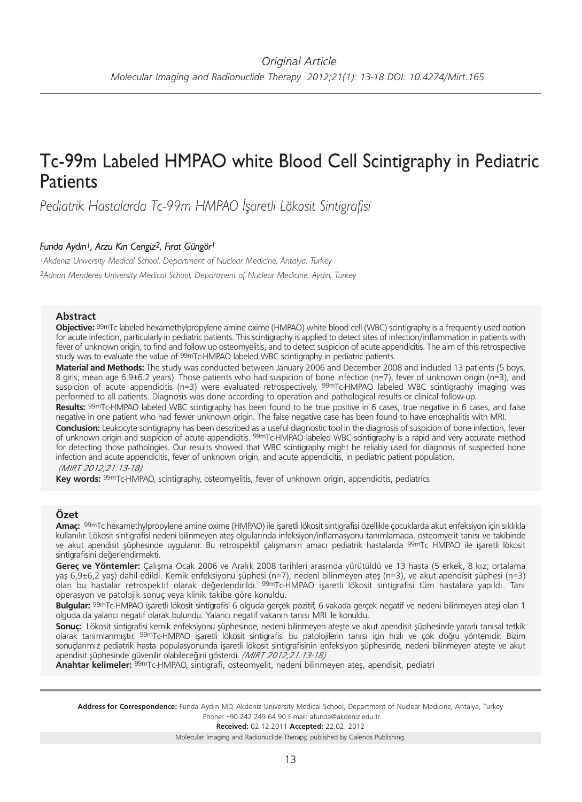# Tc-99m Labeled HMPAO white Blood Cell Scintigraphy in Pediatric **Patients**

*Pediatrik Hastalarda Tc-99m HMPAO İşaretli Lökosit Sintigrafisi*

# *Funda Aydın1, Arzu Kın Cengiz2, Fırat Güngör1*

*1Akdeniz University Medical School, Department of Nuclear Medicine, Antalya, Turkey 2Adnan Menderes University Medical School, Department of Nuclear Medicine, Aydın, Turkey*

## **Abstract**

**Objective:** 99mTc labeled hexamethylpropylene amine oxime (HMPAO) white blood cell (WBC) scintigraphy is a frequently used option for acute infection, particularly in pediatric patients. This scintigraphy is applied to detect sites of infection/inflammation in patients with fever of unknown origin, to find and follow up osteomyelitis, and to detect suspicion of acute appendicitis. The aim of this retrospective study was to evaluate the value of <sup>99m</sup>Tc-HMPAO labeled WBC scintigraphy in pediatric patients.

**Material and Methods:** The study was conducted between January 2006 and December 2008 and included 13 patients (5 boys, 8 girls; mean age 6.9±6.2 years). Those patients who had suspicion of bone infection (n=7), fever of unknown origin (n=3), and suspicion of acute appendicitis (n=3) were evaluated retrospectively. <sup>99m</sup>Tc-HMPAO labeled WBC scintigraphy imaging was performed to all patients. Diagnosis was done according to operation and pathological results or clinical follow-up.

**Results:** 99mTc-HMPAO labeled WBC scintigraphy has been found to be true positive in 6 cases, true negative in 6 cases, and false negative in one patient who had fewer unknown origin. The false negative case has been found to have encephalitis with MRI.

**Conclusion:** Leukocyte scintigraphy has been described as a useful diagnostic tool in the diagnosis of suspicion of bone infection, fever of unknown origin and suspicion of acute appendicitis. <sup>99m</sup>Tc-HMPAO labeled WBC scintigraphy is a rapid and very accurate method for detecting those pathologies. Our results showed that WBC scintigraphy might be reliably used for diagnosis of suspected bone infection and acute appendicitis, fever of unknown origin, and acute appendicitis, in pediatric patient population.

## *(MIRT 2012;21:13-18)*

**Key words:** 99mTc-HMPAO, scintigraphy, osteomyelitis, fever of unknown origin, appendicitis, pediatrics

## **Özet**

**Amaç:** 99mTc hexamethylpropylene amine oxime (HMPAO) ile işaretli lökosit sintigrafisi özellikle çocuklarda akut enfeksiyon için sıklıkla kullanılır. Lökosit sintigrafisi nedeni bilinmeyen ateş olgularında infeksiyon/inflamasyonu tanımlamada, osteomyelit tanısı ve takibinde ve akut apendisit şüphesinde uygulanır. Bu retrospektif çalışmanın amacı pediatrik hastalarda 99mTc HMPAO ile işaretli lökosit sintigrafisini değerlendirmekti.

**Gereç ve Yöntemler:** Çalışma Ocak 2006 ve Aralık 2008 tarihleri arasında yürütüldü ve 13 hasta (5 erkek, 8 kız; ortalama yaş 6,9±6,2 yaş) dahil edildi. Kemik enfeksiyonu şüphesi (n=7), nedeni bilinmeyen ateş (n=3), ve akut apendisit şüphesi (n=3) olan bu hastalar retrospektif olarak değerlendirildi. 99mTc-HMPAO işaretli lökosit sintigrafisi tüm hastalara yapıldı. Tanı operasyon ve patolojik sonuç veya klinik takibe göre konuldu.

**Bulgular:** 99mTc-HMPAO işaretli lökosit sintigrafisi 6 olguda gerçek pozitif, 6 vakada gerçek negatif ve nedeni bilinmeyen ateşi olan 1 olguda da yalancı negatif olarak bulundu. Yalancı negatif vakanın tanısı MRI ile konuldu.

**Sonuç:** Lökosit sintigrafisi kemik enfeksiyonu şüphesinde, nedeni bilinmeyen ateşte ve akut apendisit şüphesinde yararlı tanısal tetkik olarak tanımlanmıştır. 99mTc-HMPAO işaretli lökosit sintigrafisi bu patolojilerin tanısı için hızlı ve çok doğru yöntemdir. Bizim sonuçlarımız pediatrik hasta populasyonunda işaretli lökosit sintigrafisinin enfeksiyon şüphesinde, nedeni bilinmeyen ateşte ve akut apendisit şüphesinde güvenilir olabileceğini gösterdi. *(MIRT 2012;21:13-18)*

**Anahtar kelimeler:** 99mTc-HMPAO, sintigrafi, osteomyelit, nedeni bilinmeyen ateş, apendisit, pediatri

Address for Correspondence: Funda Aydın MD, Akdeniz University Medical School, Department of Nuclear Medicine, Antalya, Turkey Phone: +90 242 249 64 90 E-mail: afunda@akdeniz.edu.tr

**Received:** 02.12.2011 **Ac cep ted:** 22.02. 2012

Molecular Imaging and Radionuclide Therapy, published by Galenos Publishing.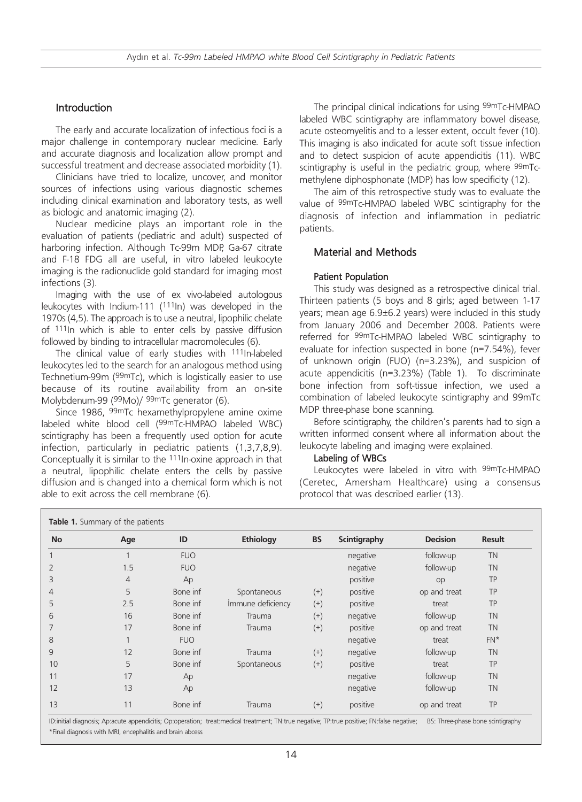# Introduction

The early and accurate localization of infectious foci is a major challenge in contemporary nuclear medicine. Early and accurate diagnosis and localization allow prompt and successful treatment and decrease associated morbidity (1).

Clinicians have tried to localize, uncover, and monitor sources of infections using various diagnostic schemes including clinical examination and laboratory tests, as well as biologic and anatomic imaging (2).

Nuclear medicine plays an important role in the evaluation of patients (pediatric and adult) suspected of harboring infection. Although Tc-99m MDP, Ga-67 citrate and F-18 FDG all are useful, in vitro labeled leukocyte imaging is the radionuclide gold standard for imaging most infections (3).

Imaging with the use of ex vivo-labeled autologous leukocytes with Indium-111 (111In) was developed in the 1970s (4,5). The approach is to use a neutral, lipophilic chelate of 111In which is able to enter cells by passive diffusion followed by binding to intracellular macromolecules (6).

The clinical value of early studies with <sup>111</sup>In-labeled leukocytes led to the search for an analogous method using Technetium-99m (99mTc), which is logistically easier to use because of its routine availability from an on-site Molybdenum-99 (99Mo)/ 99mTc generator (6).

Since 1986, 99mTc hexamethylpropylene amine oxime labeled white blood cell (99mTc-HMPAO labeled WBC) scintigraphy has been a frequently used option for acute infection, particularly in pediatric patients (1,3,7,8,9). Conceptually it is similar to the 111In-oxine approach in that a neutral, lipophilic chelate enters the cells by passive diffusion and is changed into a chemical form which is not able to exit across the cell membrane (6).

The principal clinical indications for using 99mTc-HMPAO labeled WBC scintigraphy are inflammatory bowel disease, acute osteomyelitis and to a lesser extent, occult fever (10). This imaging is also indicated for acute soft tissue infection and to detect suspicion of acute appendicitis (11). WBC scintigraphy is useful in the pediatric group, where 99mTcmethylene diphosphonate (MDP) has low specificity (12).

The aim of this retrospective study was to evaluate the value of 99mTc-HMPAO labeled WBC scintigraphy for the diagnosis of infection and inflammation in pediatric patients.

## Material and Methods

## Patient Population

This study was designed as a retrospective clinical trial. Thirteen patients (5 boys and 8 girls; aged between 1-17 years; mean age 6.9±6.2 years) were included in this study from January 2006 and December 2008. Patients were referred for 99mTc-HMPAO labeled WBC scintigraphy to evaluate for infection suspected in bone (n=7.54%), fever of unknown origin (FUO) (n=3.23%), and suspicion of acute appendicitis (n=3.23%) (Table 1). To discriminate bone infection from soft-tissue infection, we used a combination of labeled leukocyte scintigraphy and 99mTc MDP three-phase bone scanning.

Before scintigraphy, the children's parents had to sign a written informed consent where all information about the leukocyte labeling and imaging were explained.

#### Labeling of WBCs

Leukocytes were labeled in vitro with 99mTc-HMPAO (Ceretec, Amersham Healthcare) using a consensus protocol that was described earlier (13).

| <b>No</b> | Age            | ID         | Ethiology         | <b>BS</b> | Scintigraphy | <b>Decision</b> | <b>Result</b> |
|-----------|----------------|------------|-------------------|-----------|--------------|-----------------|---------------|
|           |                | <b>FUO</b> |                   |           | negative     | follow-up       | <b>TN</b>     |
| 2         | 1.5            | <b>FUO</b> |                   |           | negative     | follow-up       | <b>TN</b>     |
| 3         | $\overline{4}$ | Ap         |                   |           | positive     | op              | TP            |
| 4         | 5              | Bone inf   | Spontaneous       | $^{(+)}$  | positive     | op and treat    | <b>TP</b>     |
| 5         | 2.5            | Bone inf   | Immune deficiency | $^{(+)}$  | positive     | treat           | TP            |
| 6         | 16             | Bone inf   | Trauma            | $^{(+)}$  | negative     | follow-up       | <b>TN</b>     |
|           | 17             | Bone inf   | Trauma            | $^{(+)}$  | positive     | op and treat    | <b>TN</b>     |
| 8         |                | <b>FUO</b> |                   |           | negative     | treat           | $FN*$         |
| 9         | 12             | Bone inf   | Trauma            | $^{(+)}$  | negative     | follow-up       | <b>TN</b>     |
| 10        | 5              | Bone inf   | Spontaneous       | $(+)$     | positive     | treat           | TP            |
| 11        | 17             | Ap         |                   |           | negative     | follow-up       | <b>TN</b>     |
| 12        | 13             | Ap         |                   |           | negative     | follow-up       | <b>TN</b>     |
| 13        | 11             | Bone inf   | Trauma            | $^{(+)}$  | positive     | op and treat    | TP            |

ID:initial diagnosis; Ap:acute appendicitis; Op:operation; treat:medical treatment; TN:true negative; TP:true positive; FN:false negative; BS: Three-phase bone scintigraphy \*Final diagnosis with MRI, encephalitis and brain abcess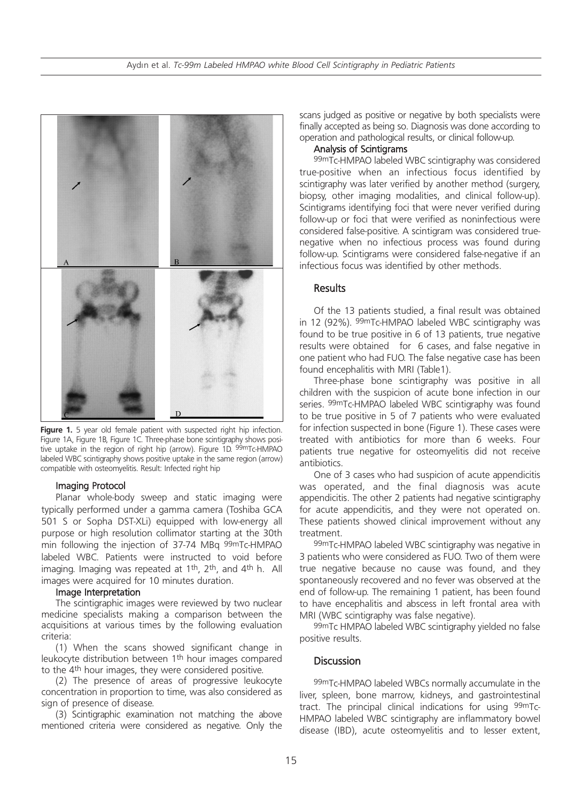

Figure 1. 5 year old female patient with suspected right hip infection. Figure 1A, Figure 1B, Figure 1C. Three-phase bone scintigraphy shows positive uptake in the region of right hip (arrow). Figure 1D. <sup>99m</sup>Tc-HMPAO labeled WBC scintigraphy shows positive uptake in the same region (arrow) compatible with osteomyelitis. Result: Infected right hip

#### Imaging Protocol

Planar whole-body sweep and static imaging were typically performed under a gamma camera (Toshiba GCA 501 S or Sopha DST-XLi) equipped with low-energy all purpose or high resolution collimator starting at the 30th min following the injection of 37-74 MBq 99mTc-HMPAO labeled WBC. Patients were instructed to void before imaging. Imaging was repeated at 1th, 2th, and 4th h. All images were acquired for 10 minutes duration.

#### Image Interpretation

The scintigraphic images were reviewed by two nuclear medicine specialists making a comparison between the acquisitions at various times by the following evaluation criteria:

(1) When the scans showed significant change in leukocyte distribution between 1th hour images compared to the 4th hour images, they were considered positive.

(2) The presence of areas of progressive leukocyte concentration in proportion to time, was also considered as sign of presence of disease.

(3) Scintigraphic examination not matching the above mentioned criteria were considered as negative. Only the

scans judged as positive or negative by both specialists were finally accepted as being so. Diagnosis was done according to operation and pathological results, or clinical follow-up.

#### Analysis of Scintigrams

99mTc-HMPAO labeled WBC scintigraphy was considered true-positive when an infectious focus identified by scintigraphy was later verified by another method (surgery, biopsy, other imaging modalities, and clinical follow-up). Scintigrams identifying foci that were never verified during follow-up or foci that were verified as noninfectious were considered false-positive. A scintigram was considered truenegative when no infectious process was found during follow-up. Scintigrams were considered false-negative if an infectious focus was identified by other methods.

## **Results**

Of the 13 patients studied, a final result was obtained in 12 (92%). 99mTc-HMPAO labeled WBC scintigraphy was found to be true positive in 6 of 13 patients, true negative results were obtained for 6 cases, and false negative in one patient who had FUO. The false negative case has been found encephalitis with MRI (Table1).

Three-phase bone scintigraphy was positive in all children with the suspicion of acute bone infection in our series. 99mTc-HMPAO labeled WBC scintigraphy was found to be true positive in 5 of 7 patients who were evaluated for infection suspected in bone (Figure 1). These cases were treated with antibiotics for more than 6 weeks. Four patients true negative for osteomyelitis did not receive antibiotics.

One of 3 cases who had suspicion of acute appendicitis was operated, and the final diagnosis was acute appendicitis. The other 2 patients had negative scintigraphy for acute appendicitis, and they were not operated on. These patients showed clinical improvement without any treatment.

99mTc-HMPAO labeled WBC scintigraphy was negative in 3 patients who were considered as FUO. Two of them were true negative because no cause was found, and they spontaneously recovered and no fever was observed at the end of follow-up. The remaining 1 patient, has been found to have encephalitis and abscess in left frontal area with MRI (WBC scintigraphy was false negative).

99mTc HMPAO labeled WBC scintigraphy yielded no false positive results.

## **Discussion**

99mTc-HMPAO labeled WBCs normally accumulate in the liver, spleen, bone marrow, kidneys, and gastrointestinal tract. The principal clinical indications for using 99mTc-HMPAO labeled WBC scintigraphy are inflammatory bowel disease (IBD), acute osteomyelitis and to lesser extent,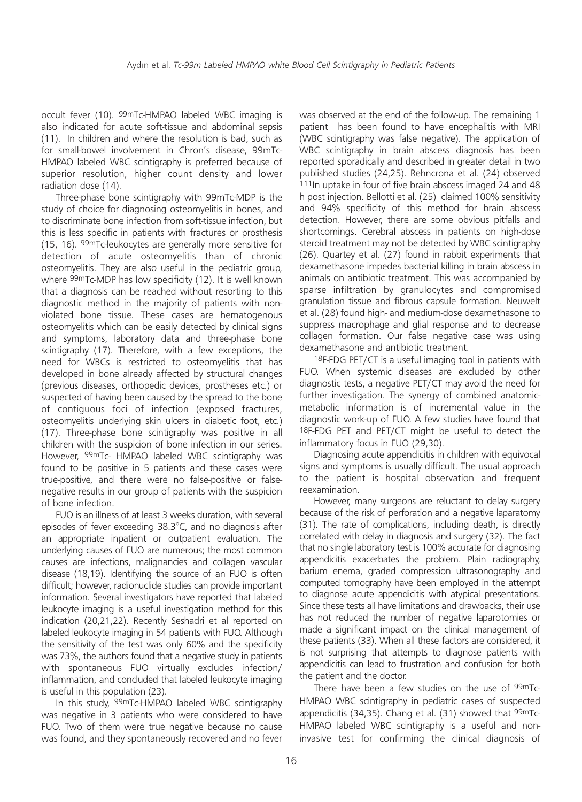occult fever (10). 99mTc-HMPAO labeled WBC imaging is also indicated for acute soft-tissue and abdominal sepsis (11). In children and where the resolution is bad, such as for small-bowel involvement in Chron's disease, 99mTc-HMPAO labeled WBC scintigraphy is preferred because of superior resolution, higher count density and lower radiation dose (14).

Three-phase bone scintigraphy with 99mTc-MDP is the study of choice for diagnosing osteomyelitis in bones, and to discriminate bone infection from soft-tissue infection, but this is less specific in patients with fractures or prosthesis (15, 16). 99mTc-leukocytes are generally more sensitive for detection of acute osteomyelitis than of chronic osteomyelitis. They are also useful in the pediatric group, where 99mTc-MDP has low specificity (12). It is well known that a diagnosis can be reached without resorting to this diagnostic method in the majority of patients with nonviolated bone tissue. These cases are hematogenous osteomyelitis which can be easily detected by clinical signs and symptoms, laboratory data and three-phase bone scintigraphy (17). Therefore, with a few exceptions, the need for WBCs is restricted to osteomyelitis that has developed in bone already affected by structural changes (previous diseases, orthopedic devices, prostheses etc.) or suspected of having been caused by the spread to the bone of contiguous foci of infection (exposed fractures, osteomyelitis underlying skin ulcers in diabetic foot, etc.) (17). Three-phase bone scintigraphy was positive in all children with the suspicion of bone infection in our series. However, 99mTc- HMPAO labeled WBC scintigraphy was found to be positive in 5 patients and these cases were true-positive, and there were no false-positive or falsenegative results in our group of patients with the suspicion of bone infection.

FUO is an illness of at least 3 weeks duration, with several episodes of fever exceeding 38.3°C, and no diagnosis after an appropriate inpatient or outpatient evaluation. The underlying causes of FUO are numerous; the most common causes are infections, malignancies and collagen vascular disease (18,19). Identifying the source of an FUO is often difficult; however, radionuclide studies can provide important information. Several investigators have reported that labeled leukocyte imaging is a useful investigation method for this indication (20,21,22). Recently Seshadri et al reported on labeled leukocyte imaging in 54 patients with FUO. Although the sensitivity of the test was only 60% and the specificity was 73%, the authors found that a negative study in patients with spontaneous FUO virtually excludes infection/ inflammation, and concluded that labeled leukocyte imaging is useful in this population (23).

In this study, 99mTc-HMPAO labeled WBC scintigraphy was negative in 3 patients who were considered to have FUO. Two of them were true negative because no cause was found, and they spontaneously recovered and no fever

was observed at the end of the follow-up. The remaining 1 patient has been found to have encephalitis with MRI (WBC scintigraphy was false negative). The application of WBC scintigraphy in brain abscess diagnosis has been reported sporadically and described in greater detail in two published studies (24,25). Rehncrona et al. (24) observed 111In uptake in four of five brain abscess imaged 24 and 48 h post injection. Bellotti et al. (25) claimed 100% sensitivity and 94% specificity of this method for brain abscess detection. However, there are some obvious pitfalls and shortcomings. Cerebral abscess in patients on high-dose steroid treatment may not be detected by WBC scintigraphy (26). Quartey et al. (27) found in rabbit experiments that dexamethasone impedes bacterial killing in brain abscess in animals on antibiotic treatment. This was accompanied by sparse infiltration by granulocytes and compromised granulation tissue and fibrous capsule formation. Neuwelt et al. (28) found high- and medium-dose dexamethasone to suppress macrophage and glial response and to decrease collagen formation. Our false negative case was using dexamethasone and antibiotic treatment.

18F-FDG PET/CT is a useful imaging tool in patients with FUO. When systemic diseases are excluded by other diagnostic tests, a negative PET/CT may avoid the need for further investigation. The synergy of combined anatomicmetabolic information is of incremental value in the diagnostic work-up of FUO. A few studies have found that 18F-FDG PET and PET/CT might be useful to detect the inflammatory focus in FUO (29,30).

Diagnosing acute appendicitis in children with equivocal signs and symptoms is usually difficult. The usual approach to the patient is hospital observation and frequent reexamination.

However, many surgeons are reluctant to delay surgery because of the risk of perforation and a negative laparatomy (31). The rate of complications, including death, is directly correlated with delay in diagnosis and surgery (32). The fact that no single laboratory test is 100% accurate for diagnosing appendicitis exacerbates the problem. Plain radiography, barium enema, graded compression ultrasonography and computed tomography have been employed in the attempt to diagnose acute appendicitis with atypical presentations. Since these tests all have limitations and drawbacks, their use has not reduced the number of negative laparotomies or made a significant impact on the clinical management of these patients (33). When all these factors are considered, it is not surprising that attempts to diagnose patients with appendicitis can lead to frustration and confusion for both the patient and the doctor.

There have been a few studies on the use of 99mTc-HMPAO WBC scintigraphy in pediatric cases of suspected appendicitis (34,35). Chang et al. (31) showed that 99mTc-HMPAO labeled WBC scintigraphy is a useful and noninvasive test for confirming the clinical diagnosis of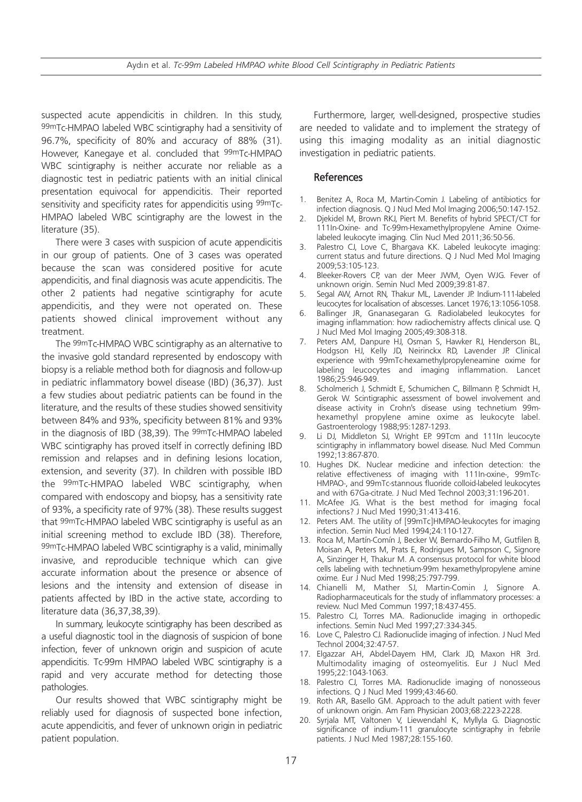suspected acute appendicitis in children. In this study, 99mTc-HMPAO labeled WBC scintigraphy had a sensitivity of 96.7%, specificity of 80% and accuracy of 88% (31). However, Kanegaye et al. concluded that <sup>99m</sup>Tc-HMPAO WBC scintigraphy is neither accurate nor reliable as a diagnostic test in pediatric patients with an initial clinical presentation equivocal for appendicitis. Their reported sensitivity and specificity rates for appendicitis using 99mTc-HMPAO labeled WBC scintigraphy are the lowest in the literature (35).

There were 3 cases with suspicion of acute appendicitis in our group of patients. One of 3 cases was operated because the scan was considered positive for acute appendicitis, and final diagnosis was acute appendicitis. The other 2 patients had negative scintigraphy for acute appendicitis, and they were not operated on. These patients showed clinical improvement without any treatment.

The 99mTc-HMPAO WBC scintigraphy as an alternative to the invasive gold standard represented by endoscopy with biopsy is a reliable method both for diagnosis and follow-up in pediatric inflammatory bowel disease (IBD) (36,37). Just a few studies about pediatric patients can be found in the literature, and the results of these studies showed sensitivity between 84% and 93%, specificity between 81% and 93% in the diagnosis of IBD (38,39). The <sup>99mT</sup>c-HMPAO labeled WBC scintigraphy has proved itself in correctly defining IBD remission and relapses and in defining lesions location, extension, and severity (37). In children with possible IBD the 99mTc-HMPAO labeled WBC scintigraphy, when compared with endoscopy and biopsy, has a sensitivity rate of 93%, a specificity rate of 97% (38). These results suggest that 99mTc-HMPAO labeled WBC scintigraphy is useful as an initial screening method to exclude IBD (38). Therefore, 99mTc-HMPAO labeled WBC scintigraphy is a valid, minimally invasive, and reproducible technique which can give accurate information about the presence or absence of lesions and the intensity and extension of disease in patients affected by IBD in the active state, according to literature data (36,37,38,39).

In summary, leukocyte scintigraphy has been described as a useful diagnostic tool in the diagnosis of suspicion of bone infection, fever of unknown origin and suspicion of acute appendicitis. Tc-99m HMPAO labeled WBC scintigraphy is a rapid and very accurate method for detecting those pathologies.

Our results showed that WBC scintigraphy might be reliably used for diagnosis of suspected bone infection, acute appendicitis, and fever of unknown origin in pediatric patient population.

Furthermore, larger, well-designed, prospective studies are needed to validate and to implement the strategy of using this imaging modality as an initial diagnostic investigation in pediatric patients.

## References

- 1. Benitez A, Roca M, Martin-Comin J. Labeling of antibiotics for infection diagnosis. Q J Nucl Med Mol Imaging 2006;50:147-152.
- 2. Djekidel M, Brown RKJ, Piert M. Benefits of hybrid SPECT/CT for 111In-Oxine- and Tc-99m-Hexamethylpropylene Amine Oximelabeled leukocyte imaging. Clin Nucl Med 2011;36:50-56.
- 3. Palestro CJ, Love C, Bhargava KK. Labeled leukocyte imaging: current status and future directions. Q J Nucl Med Mol Imaging 2009;53:105-123.
- 4. Bleeker-Rovers CP, van der Meer JWM, Oyen WJG. Fever of unknown origin. Semin Nucl Med 2009;39:81-87.
- 5. Segal AW, Arnot RN, Thakur ML, Lavender JP. Indium-111-labeled leucocytes for localisation of abscesses. Lancet 1976;13:1056-1058.
- 6. Ballinger JR, Gnanasegaran G. Radiolabeled leukocytes for imaging inflammation: how radiochemistry affects clinical use. Q J Nucl Med Mol Imaging 2005;49:308-318.
- 7. Peters AM, Danpure HJ, Osman S, Hawker RJ, Henderson BL, Hodgson HJ, Kelly JD, Neirinckx RD, Lavender JP. Clinical experience with 99mTc-hexamethylpropyleneamine oxime for labeling leucocytes and imaging inflammation. Lancet 1986;25:946-949.
- 8. Scholmerich J, Schmidt E, Schumichen C, Billmann P, Schmidt H, Gerok W. Scintigraphic assessment of bowel involvement and disease activity in Crohn's disease using technetium 99mhexamethyl propylene amine oxime as leukocyte label. Gastroenterology 1988;95:1287-1293.
- 9. Li DJ, Middleton SJ, Wright EP. 99Tcm and 111In leucocyte scintigraphy in inflammatory bowel disease. Nucl Med Commun 1992;13:867-870.
- 10. Hughes DK. Nuclear medicine and infection detection: the relative effectiveness of imaging with 111In-oxine-, 99mTc-HMPAO-, and 99mTc-stannous fluoride colloid-labeled leukocytes and with 67Ga-citrate. J Nucl Med Technol 2003;31:196-201.
- 11. McAfee JG. What is the best method for imaging focal infections? J Nucl Med 1990;31:413-416.
- 12. Peters AM. The utility of [99mTc]HMPAO-leukocytes for imaging infection. Semin Nucl Med 1994;24:110-127.
- 13. Roca M, Martín-Comín J, Becker W, Bernardo-Filho M, Gutfilen B, Moisan A, Peters M, Prats E, Rodrigues M, Sampson C, Signore A, Sinzinger H, Thakur M. A consensus protocol for white blood cells labeling with technetium-99m hexamethylpropylene amine oxime. Eur J Nucl Med 1998;25:797-799.
- 14. Chianelli M, Mather SJ, Martin-Comin J, Signore A. Radiopharmaceuticals for the study of inflammatory processes: a review. Nucl Med Commun 1997;18:437-455.
- 15. Palestro CJ, Torres MA. Radionuclide imaging in orthopedic infections. Semin Nucl Med 1997;27:334-345.
- 16. Love C, Palestro CJ. Radionuclide imaging of infection. J Nucl Med Technol 2004;32:47-57.
- 17. Elgazzar AH, Abdel-Dayem HM, Clark JD, Maxon HR 3rd. Multimodality imaging of osteomyelitis. Eur J Nucl Med 1995;22:1043-1063.
- 18. Palestro CJ, Torres MA. Radionuclide imaging of nonosseous infections. Q J Nucl Med 1999;43:46-60.
- 19. Roth AR, Basello GM. Approach to the adult patient with fever of unknown origin. Am Fam Physician 2003;68:2223-2228.
- 20. Syrjala MT, Valtonen V, Liewendahl K, Myllyla G. Diagnostic significance of indium-111 granulocyte scintigraphy in febrile patients. J Nucl Med 1987;28:155-160.